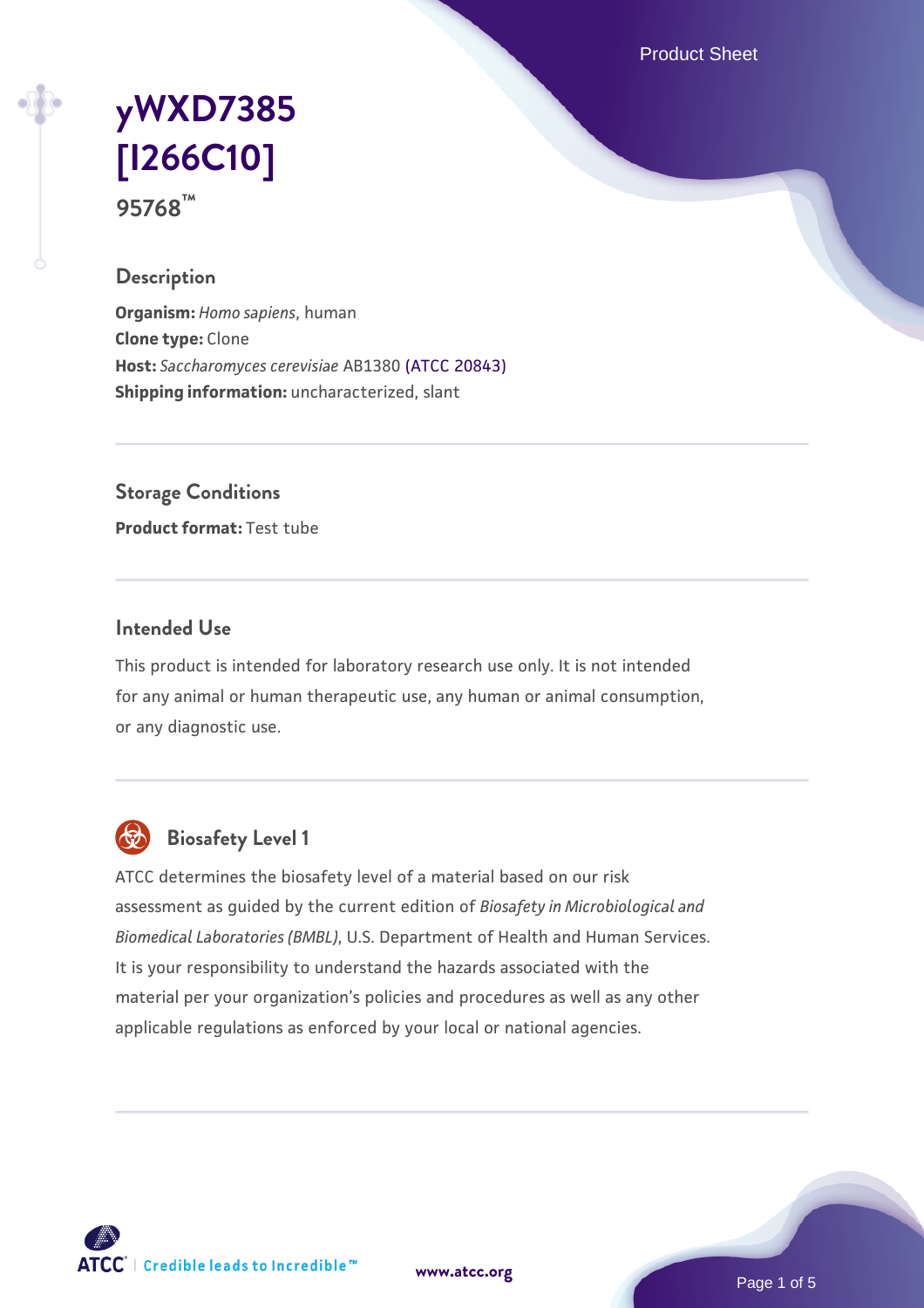Product Sheet

## **[yWXD7385](https://www.atcc.org/products/95768) [\[I266C10\]](https://www.atcc.org/products/95768) 95768™**

### **Description**

**Organism:** *Homo sapiens*, human **Clone type:** Clone **Host:** *Saccharomyces cerevisiae* AB1380 [\(ATCC 20843\)](https://www.atcc.org/products/20843) **Shipping information:** uncharacterized, slant

**Storage Conditions**

**Product format:** Test tube

#### **Intended Use**

This product is intended for laboratory research use only. It is not intended for any animal or human therapeutic use, any human or animal consumption, or any diagnostic use.



## **Biosafety Level 1**

ATCC determines the biosafety level of a material based on our risk assessment as guided by the current edition of *Biosafety in Microbiological and Biomedical Laboratories (BMBL)*, U.S. Department of Health and Human Services. It is your responsibility to understand the hazards associated with the material per your organization's policies and procedures as well as any other applicable regulations as enforced by your local or national agencies.

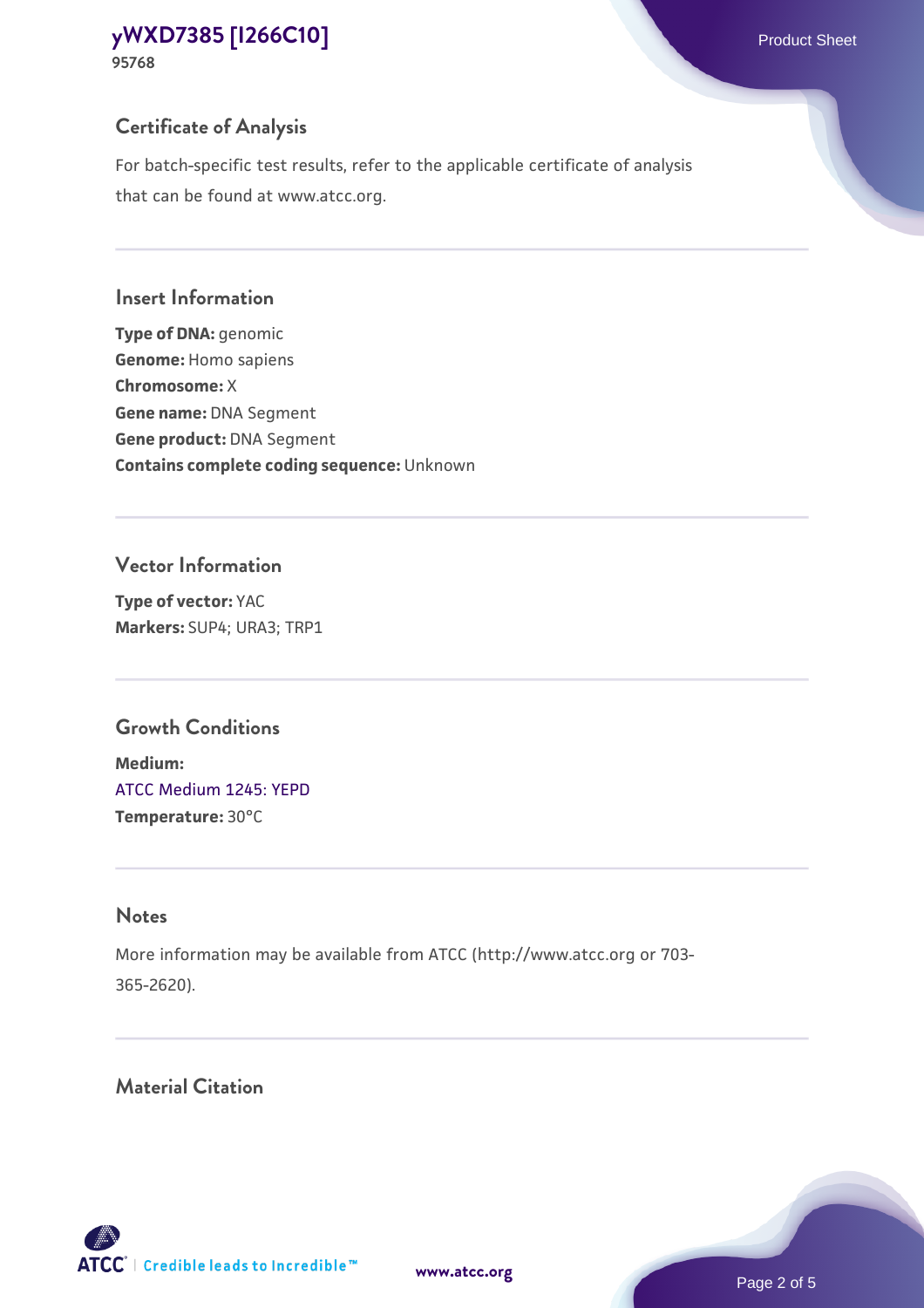**95768**

## **Certificate of Analysis**

For batch-specific test results, refer to the applicable certificate of analysis that can be found at www.atcc.org.

## **Insert Information**

**Type of DNA:** genomic **Genome:** Homo sapiens **Chromosome:** X **Gene name:** DNA Segment **Gene product:** DNA Segment **Contains complete coding sequence:** Unknown

## **Vector Information**

**Type of vector:** YAC **Markers:** SUP4; URA3; TRP1

## **Growth Conditions**

**Medium:**  [ATCC Medium 1245: YEPD](https://www.atcc.org/-/media/product-assets/documents/microbial-media-formulations/1/2/4/5/atcc-medium-1245.pdf?rev=705ca55d1b6f490a808a965d5c072196) **Temperature:** 30°C

## **Notes**

More information may be available from ATCC (http://www.atcc.org or 703- 365-2620).

## **Material Citation**

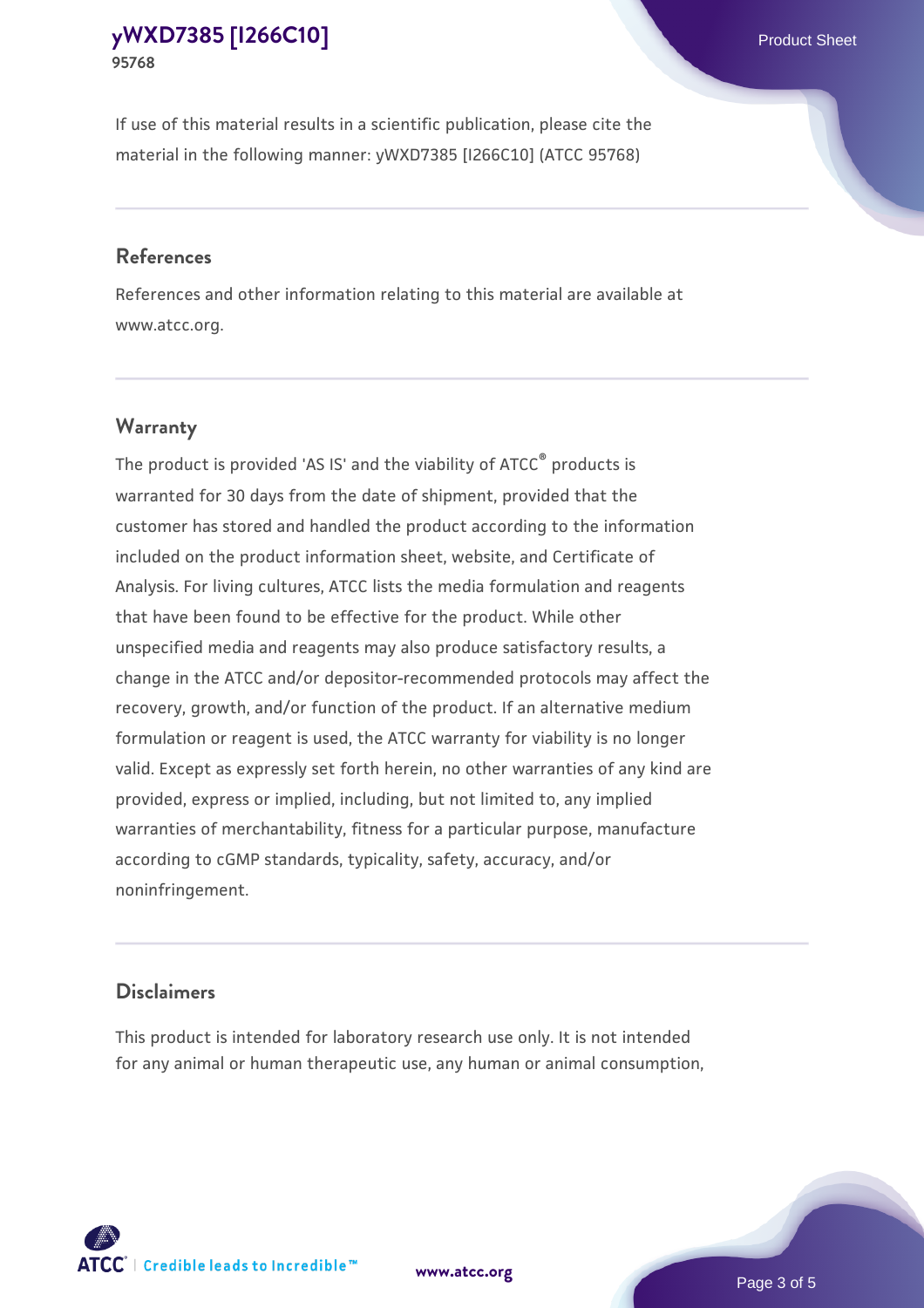If use of this material results in a scientific publication, please cite the material in the following manner: yWXD7385 [I266C10] (ATCC 95768)

#### **References**

References and other information relating to this material are available at www.atcc.org.

### **Warranty**

The product is provided 'AS IS' and the viability of  $ATCC<sup>®</sup>$  products is warranted for 30 days from the date of shipment, provided that the customer has stored and handled the product according to the information included on the product information sheet, website, and Certificate of Analysis. For living cultures, ATCC lists the media formulation and reagents that have been found to be effective for the product. While other unspecified media and reagents may also produce satisfactory results, a change in the ATCC and/or depositor-recommended protocols may affect the recovery, growth, and/or function of the product. If an alternative medium formulation or reagent is used, the ATCC warranty for viability is no longer valid. Except as expressly set forth herein, no other warranties of any kind are provided, express or implied, including, but not limited to, any implied warranties of merchantability, fitness for a particular purpose, manufacture according to cGMP standards, typicality, safety, accuracy, and/or noninfringement.

#### **Disclaimers**

This product is intended for laboratory research use only. It is not intended for any animal or human therapeutic use, any human or animal consumption,

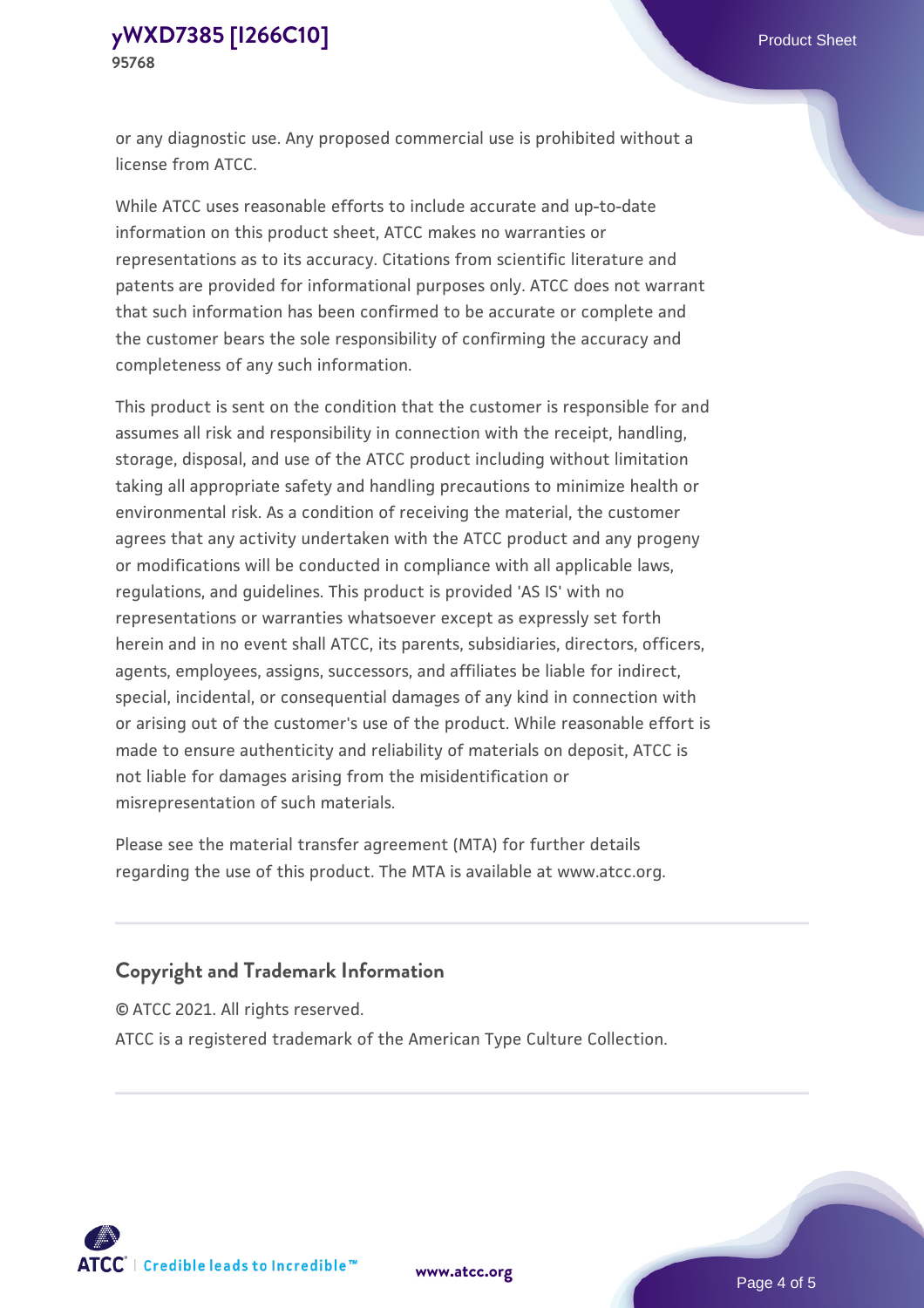or any diagnostic use. Any proposed commercial use is prohibited without a license from ATCC.

While ATCC uses reasonable efforts to include accurate and up-to-date information on this product sheet, ATCC makes no warranties or representations as to its accuracy. Citations from scientific literature and patents are provided for informational purposes only. ATCC does not warrant that such information has been confirmed to be accurate or complete and the customer bears the sole responsibility of confirming the accuracy and completeness of any such information.

This product is sent on the condition that the customer is responsible for and assumes all risk and responsibility in connection with the receipt, handling, storage, disposal, and use of the ATCC product including without limitation taking all appropriate safety and handling precautions to minimize health or environmental risk. As a condition of receiving the material, the customer agrees that any activity undertaken with the ATCC product and any progeny or modifications will be conducted in compliance with all applicable laws, regulations, and guidelines. This product is provided 'AS IS' with no representations or warranties whatsoever except as expressly set forth herein and in no event shall ATCC, its parents, subsidiaries, directors, officers, agents, employees, assigns, successors, and affiliates be liable for indirect, special, incidental, or consequential damages of any kind in connection with or arising out of the customer's use of the product. While reasonable effort is made to ensure authenticity and reliability of materials on deposit, ATCC is not liable for damages arising from the misidentification or misrepresentation of such materials.

Please see the material transfer agreement (MTA) for further details regarding the use of this product. The MTA is available at www.atcc.org.

### **Copyright and Trademark Information**

© ATCC 2021. All rights reserved.

ATCC is a registered trademark of the American Type Culture Collection.



**[www.atcc.org](http://www.atcc.org)**